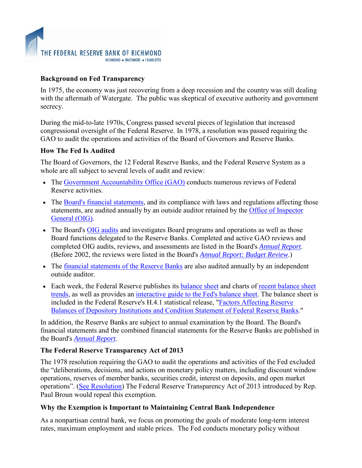## **Background on Fed Transparency**

In 1975, the economy was just recovering from a deep recession and the country was still dealing with the aftermath of Watergate. The public was skeptical of executive authority and government secrecy.

During the mid-to-late 1970s, Congress passed several pieces of legislation that increased congressional oversight of the Federal Reserve. In 1978, a resolution was passed requiring the GAO to audit the operations and activities of the Board of Governors and Reserve Banks.

# **How The Fed Is Audited**

The Board of Governors, the 12 Federal Reserve Banks, and the Federal Reserve System as a whole are all subject to several levels of audit and review:

- The [Government Accountability Office \(GAO\)](http://www.federalreserve.gov/newsevents/reform_audit_gao.htm) conducts numerous reviews of Federal Reserve activities.
- The [Board's financial statements,](http://www.federalreserve.gov/monetarypolicy/bst_fedfinancials.htm) and its compliance with laws and regulations affecting those statements, are audited annually by an outside auditor retained by the [Office of Inspector](http://www.federalreserve.gov/oig/default.htm)  [General \(OIG\).](http://www.federalreserve.gov/oig/default.htm)
- The Board's [OIG audits](http://www.federalreserve.gov/oig/oig_rpt_2011.htm) and investigates Board programs and operations as well as those Board functions delegated to the Reserve Banks. Completed and active GAO reviews and completed OIG audits, reviews, and assessments are listed in the Board's *[Annual Report](http://www.federalreserve.gov/publications/annual-report/default.htm)*. (Before 2002, the reviews were listed in the Board's *[Annual Report: Budget Review](http://www.federalreserve.gov/publications/budget-review/default.htm)*.)
- The <u>financial statements of the Reserve Banks</u> are also audited annually by an independent outside auditor.
- Each week, the Federal Reserve publishes its [balance sheet](http://www.federalreserve.gov/monetarypolicy/bst_fedsbalancesheet.htm) and charts of recent balance sheet [trends,](http://www.federalreserve.gov/monetarypolicy/bst_recenttrends.htm) as well as provides an [interactive guide to the Fed's balance sheet.](http://www.federalreserve.gov/monetarypolicy/reservebalances_p.htm) The balance sheet is included in the Federal Reserve's H.4.1 statistical release, ["Factors Affecting Reserve](http://www.federalreserve.gov/releases/h41/current/h41.htm)  [Balances of Depository Institutions and Condition Statement of Federal Reserve Banks.](http://www.federalreserve.gov/releases/h41/current/h41.htm)"

In addition, the Reserve Banks are subject to annual examination by the Board. The Board's financial statements and the combined financial statements for the Reserve Banks are published in the Board's *[Annual Report](http://www.federalreserve.gov/publications/annual-report/default.htm)*.

## **The Federal Reserve Transparency Act of 2013**

The 1978 resolution requiring the GAO to audit the operations and activities of the Fed excluded the "deliberations, decisions, and actions on monetary policy matters, including discount window operations, reserves of member banks, securities credit, interest on deposits, and open market operations". [\(See Resolution\)](http://www.law.cornell.edu/uscode/text/31/714) The Federal Reserve Transparency Act of 2013 introduced by Rep. Paul Broun would repeal this exemption.

## **Why the Exemption is Important to Maintaining Central Bank Independence**

As a nonpartisan central bank, we focus on promoting the goals of moderate long-term interest rates, maximum employment and stable prices. The Fed conducts monetary policy without